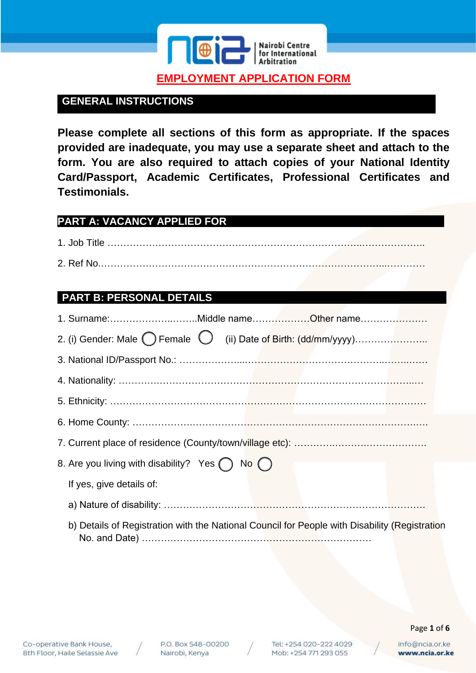

# **GENERAL INSTRUCTIONS**

**Please complete all sections of this form as appropriate. If the spaces provided are inadequate, you may use a separate sheet and attach to the form. You are also required to attach copies of your National Identity Card/Passport, Academic Certificates, Professional Certificates and Testimonials.**

### **PART A: VACANCY APPLIED FOR**

1. Job Title ……………………………………………………………………..……………….. 2. Ref No.……………………………………………………………………………...…………

### **PART B: PERSONAL DETAILS**

| 1. Surname:Middle nameOther name                                                              |
|-----------------------------------------------------------------------------------------------|
|                                                                                               |
|                                                                                               |
|                                                                                               |
|                                                                                               |
|                                                                                               |
|                                                                                               |
| 8. Are you living with disability? Yes $\bigcap$ No $\bigcap$                                 |
| If yes, give details of:                                                                      |
|                                                                                               |
| b) Details of Registration with the National Council for People with Disability (Registration |



Tel: +254 020-222 4029 Mob: +254 771 293 055

Page **1** of **6**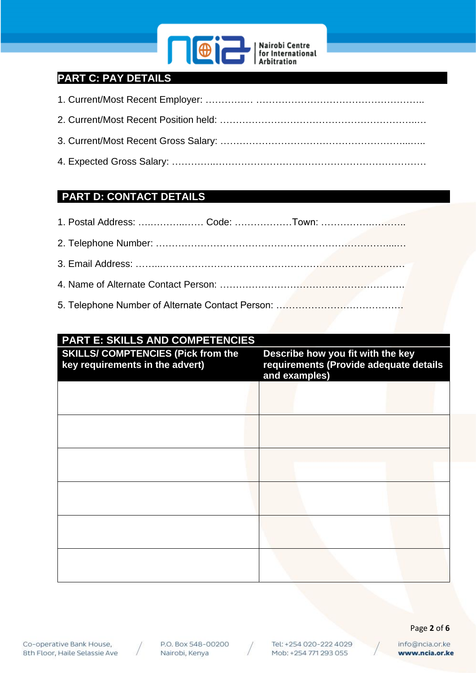

# **PART C: PAY DETAILS**

### **PART D: CONTACT DETAILS**

## **PART E: SKILLS AND COMPETENCIES**

| <b>SKILLS/ COMPTENCIES (Pick from the</b><br>key requirements in the advert) | Describe how you fit with the key<br>requirements (Provide adequate details<br>and examples) |  |
|------------------------------------------------------------------------------|----------------------------------------------------------------------------------------------|--|
|                                                                              |                                                                                              |  |
|                                                                              |                                                                                              |  |
|                                                                              |                                                                                              |  |
|                                                                              |                                                                                              |  |
|                                                                              |                                                                                              |  |
|                                                                              |                                                                                              |  |





Tel: +254 020-222 4029 Mob: +254 771 293 055

#### Page **2** of **6**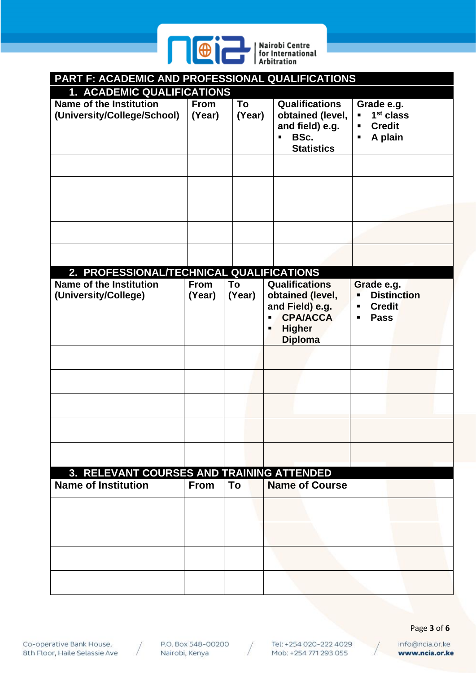

| PART F: ACADEMIC AND PROFESSIONAL QUALIFICATIONS              |                       |              |                                                                                                                                                        |                                                                                    |
|---------------------------------------------------------------|-----------------------|--------------|--------------------------------------------------------------------------------------------------------------------------------------------------------|------------------------------------------------------------------------------------|
| 1. ACADEMIC QUALIFICATIONS                                    |                       |              |                                                                                                                                                        |                                                                                    |
| <b>Name of the Institution</b><br>(University/College/School) | <b>From</b><br>(Year) | To<br>(Year) | <b>Qualifications</b><br>obtained (level,<br>and field) e.g.<br>BSc.<br>$\blacksquare$<br><b>Statistics</b>                                            | Grade e.g.<br>$1st$ class<br>Ξ<br><b>Credit</b><br>٠<br>A plain<br>п               |
|                                                               |                       |              |                                                                                                                                                        |                                                                                    |
| 2. PROFESSIONAL/TECHNICAL QUALIFICATIONS                      |                       |              |                                                                                                                                                        |                                                                                    |
| <b>Name of the Institution</b><br>(University/College)        | <b>From</b><br>(Year) | To<br>(Year) | <b>Qualifications</b><br>obtained (level,<br>and Field) e.g.<br><b>CPA/ACCA</b><br>$\blacksquare$<br><b>Higher</b><br>$\blacksquare$<br><b>Diploma</b> | Grade e.g.<br><b>Distinction</b><br>$\blacksquare$<br><b>Credit</b><br><b>Pass</b> |
|                                                               |                       |              |                                                                                                                                                        |                                                                                    |
|                                                               |                       |              |                                                                                                                                                        |                                                                                    |
|                                                               |                       |              |                                                                                                                                                        |                                                                                    |
|                                                               |                       |              |                                                                                                                                                        |                                                                                    |
| 3. RELEVANT COURSES AND TRAINING ATTENDED                     |                       |              |                                                                                                                                                        |                                                                                    |
| <b>Name of Institution</b>                                    | <b>From</b>           | To           | <b>Name of Course</b>                                                                                                                                  |                                                                                    |
|                                                               |                       |              |                                                                                                                                                        |                                                                                    |
|                                                               |                       |              |                                                                                                                                                        |                                                                                    |
|                                                               |                       |              |                                                                                                                                                        |                                                                                    |
|                                                               |                       |              |                                                                                                                                                        |                                                                                    |
|                                                               |                       |              |                                                                                                                                                        |                                                                                    |

Co-operative Bank House, 8th Floor, Haile Selassie Ave

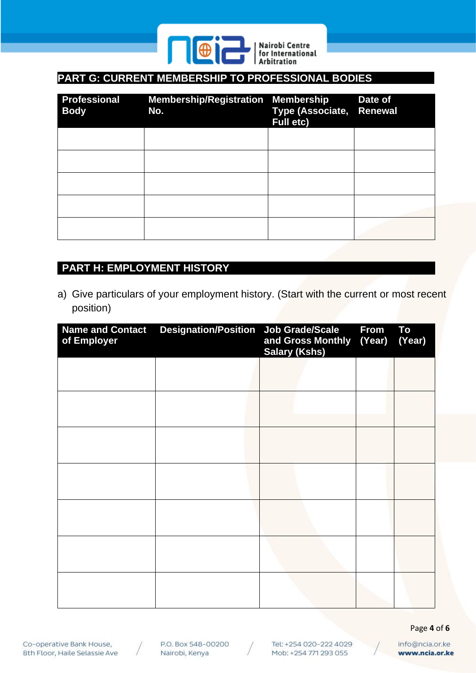

# PART G: CURRENT MEMBERSHIP TO PROFESSIONAL BODIES

| <b>Professional</b><br><b>Body</b> | Membership/Registration Membership<br>No. | Type (Associate, Renewal<br><b>Full etc)</b> | Date of |
|------------------------------------|-------------------------------------------|----------------------------------------------|---------|
|                                    |                                           |                                              |         |
|                                    |                                           |                                              |         |
|                                    |                                           |                                              |         |
|                                    |                                           |                                              |         |
|                                    |                                           |                                              |         |

### **PART H: EMPLOYMENT HISTORY**

a) Give particulars of your employment history. (Start with the current or most recent position)

| <b>Name and Contact</b><br>of Employer | <b>Designation/Position Job Grade/Scale</b> | and Gross Monthly (Year)<br><b>Salary (Kshs)</b> | <b>From</b> | To<br>(Year) |
|----------------------------------------|---------------------------------------------|--------------------------------------------------|-------------|--------------|
|                                        |                                             |                                                  |             |              |
|                                        |                                             |                                                  |             |              |
|                                        |                                             |                                                  |             |              |
|                                        |                                             |                                                  |             |              |
|                                        |                                             |                                                  |             |              |
|                                        |                                             |                                                  |             |              |
|                                        |                                             |                                                  |             |              |

Co-operative Bank House, 8th Floor, Haile Selassie Ave





Page **4** of **6**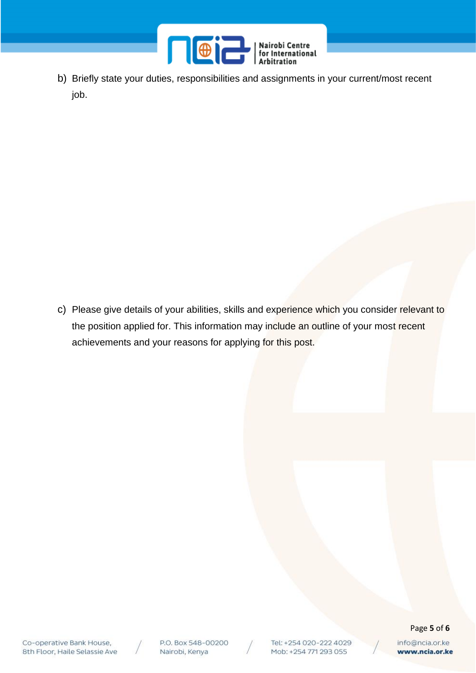

b) Briefly state your duties, responsibilities and assignments in your current/most recent job.

c) Please give details of your abilities, skills and experience which you consider relevant to the position applied for. This information may include an outline of your most recent achievements and your reasons for applying for this post.



P.O. Box 548-00200 Nairobi, Kenya

Tel: +254 020-222 4029 Mob: +254 771 293 055

#### Page **5** of **6**